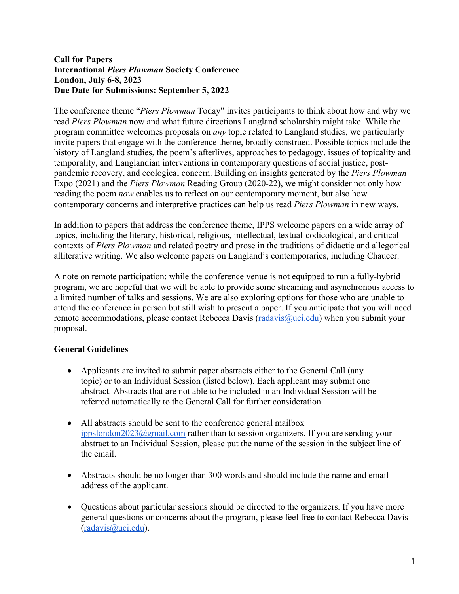#### **Call for Papers International** *Piers Plowman* **Society Conference London, July 6-8, 2023 Due Date for Submissions: September 5, 2022**

The conference theme "*Piers Plowman* Today" invites participants to think about how and why we read *Piers Plowman* now and what future directions Langland scholarship might take. While the program committee welcomes proposals on *any* topic related to Langland studies, we particularly invite papers that engage with the conference theme, broadly construed. Possible topics include the history of Langland studies, the poem's afterlives, approaches to pedagogy, issues of topicality and temporality, and Langlandian interventions in contemporary questions of social justice, postpandemic recovery, and ecological concern. Building on insights generated by the *Piers Plowman*  Expo (2021) and the *Piers Plowman* Reading Group (2020-22), we might consider not only how reading the poem *now* enables us to reflect on our contemporary moment, but also how contemporary concerns and interpretive practices can help us read *Piers Plowman* in new ways.

In addition to papers that address the conference theme, IPPS welcome papers on a wide array of topics, including the literary, historical, religious, intellectual, textual-codicological, and critical contexts of *Piers Plowman* and related poetry and prose in the traditions of didactic and allegorical alliterative writing. We also welcome papers on Langland's contemporaries, including Chaucer.

A note on remote participation: while the conference venue is not equipped to run a fully-hybrid program, we are hopeful that we will be able to provide some streaming and asynchronous access to a limited number of talks and sessions. We are also exploring options for those who are unable to attend the conference in person but still wish to present a paper. If you anticipate that you will need remote accommodations, please contact Rebecca Davis ( $radavis@uci.edu$ ) when you submit your proposal.

### **General Guidelines**

- Applicants are invited to submit paper abstracts either to the General Call (any topic) or to an Individual Session (listed below). Each applicant may submit one abstract. Abstracts that are not able to be included in an Individual Session will be referred automatically to the General Call for further consideration.
- All abstracts should be sent to the conference general mailbox ippslondon2023@gmail.com rather than to session organizers. If you are sending your abstract to an Individual Session, please put the name of the session in the subject line of the email.
- Abstracts should be no longer than 300 words and should include the name and email address of the applicant.
- Questions about particular sessions should be directed to the organizers. If you have more general questions or concerns about the program, please feel free to contact Rebecca Davis (radavis@uci.edu).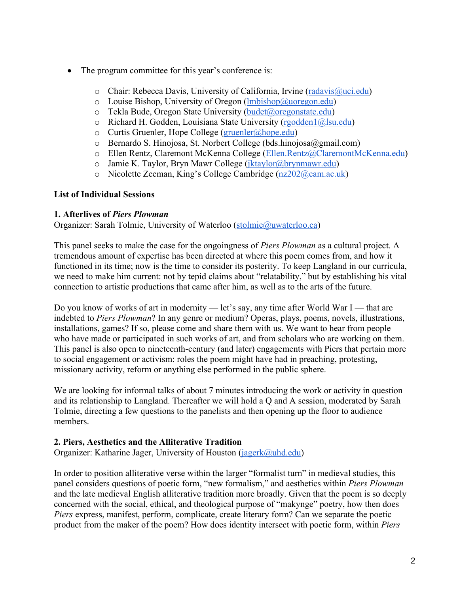- The program committee for this year's conference is:
	- o Chair: Rebecca Davis, University of California, Irvine (radavis@uci.edu)
	- $\circ$  Louise Bishop, University of Oregon (lmbishop@uoregon.edu)
	- $\circ$  Tekla Bude, Oregon State University (budet@oregonstate.edu)
	- o Richard H. Godden, Louisiana State University (rgodden1@lsu.edu)
	- $\circ$  Curtis Gruenler, Hope College (gruenler@hope.edu)
	- o Bernardo S. Hinojosa, St. Norbert College (bds.hinojosa@gmail.com)
	- o Ellen Rentz, Claremont McKenna College (Ellen.Rentz@ClaremontMcKenna.edu)
	- o Jamie K. Taylor, Bryn Mawr College (jktaylor@brynmawr.edu)
	- o Nicolette Zeeman, King's College Cambridge (nz202@cam.ac.uk)

# **List of Individual Sessions**

# **1. Afterlives of** *Piers Plowman*

Organizer: Sarah Tolmie, University of Waterloo (stolmie@uwaterloo.ca)

This panel seeks to make the case for the ongoingness of *Piers Plowman* as a cultural project. A tremendous amount of expertise has been directed at where this poem comes from, and how it functioned in its time; now is the time to consider its posterity. To keep Langland in our curricula, we need to make him current: not by tepid claims about "relatability," but by establishing his vital connection to artistic productions that came after him, as well as to the arts of the future.

Do you know of works of art in modernity — let's say, any time after World War I — that are indebted to *Piers Plowman*? In any genre or medium? Operas, plays, poems, novels, illustrations, installations, games? If so, please come and share them with us. We want to hear from people who have made or participated in such works of art, and from scholars who are working on them. This panel is also open to nineteenth-century (and later) engagements with Piers that pertain more to social engagement or activism: roles the poem might have had in preaching, protesting, missionary activity, reform or anything else performed in the public sphere.

We are looking for informal talks of about 7 minutes introducing the work or activity in question and its relationship to Langland. Thereafter we will hold a Q and A session, moderated by Sarah Tolmie, directing a few questions to the panelists and then opening up the floor to audience members.

# **2. Piers, Aesthetics and the Alliterative Tradition**

Organizer: Katharine Jager, University of Houston (jagerk@uhd.edu)

In order to position alliterative verse within the larger "formalist turn" in medieval studies, this panel considers questions of poetic form, "new formalism," and aesthetics within *Piers Plowman* and the late medieval English alliterative tradition more broadly. Given that the poem is so deeply concerned with the social, ethical, and theological purpose of "makynge" poetry, how then does *Piers* express, manifest, perform, complicate, create literary form? Can we separate the poetic product from the maker of the poem? How does identity intersect with poetic form, within *Piers*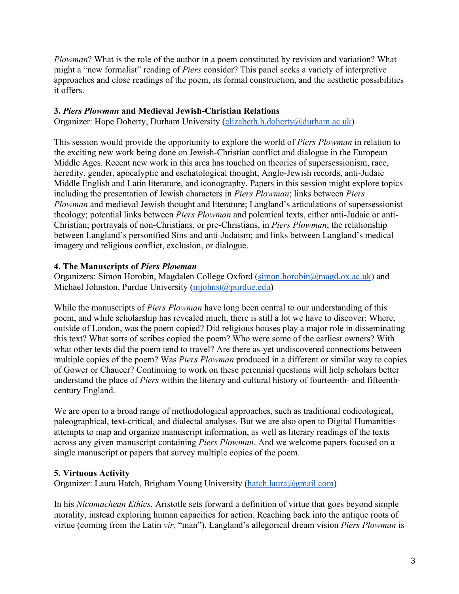*Plowman*? What is the role of the author in a poem constituted by revision and variation? What might a "new formalist" reading of *Piers* consider? This panel seeks a variety of interpretive approaches and close readings of the poem, its formal construction, and the aesthetic possibilities it offers.

## **3.** *Piers Plowman* **and Medieval Jewish-Christian Relations**

Organizer: Hope Doherty, Durham University (elizabeth.h.doherty@durham.ac.uk)

This session would provide the opportunity to explore the world of *Piers Plowman* in relation to the exciting new work being done on Jewish-Christian conflict and dialogue in the European Middle Ages. Recent new work in this area has touched on theories of supersessionism, race, heredity, gender, apocalyptic and eschatological thought, Anglo-Jewish records, anti-Judaic Middle English and Latin literature, and iconography. Papers in this session might explore topics including the presentation of Jewish characters in *Piers Plowman*; links between *Piers Plowman* and medieval Jewish thought and literature; Langland's articulations of supersessionist theology; potential links between *Piers Plowman* and polemical texts, either anti-Judaic or anti-Christian; portrayals of non-Christians, or pre-Christians, in *Piers Plowman*; the relationship between Langland's personified Sins and anti-Judaism; and links between Langland's medical imagery and religious conflict, exclusion, or dialogue.

### **4. The Manuscripts of** *Piers Plowman*

Organizers: Simon Horobin, Magdalen College Oxford (simon.horobin@magd.ox.ac.uk) and Michael Johnston, Purdue University (mjohnst@purdue.edu)

While the manuscripts of *Piers Plowman* have long been central to our understanding of this poem, and while scholarship has revealed much, there is still a lot we have to discover: Where, outside of London, was the poem copied? Did religious houses play a major role in disseminating this text? What sorts of scribes copied the poem? Who were some of the earliest owners? With what other texts did the poem tend to travel? Are there as-yet undiscovered connections between multiple copies of the poem? Was *Piers Plowman* produced in a different or similar way to copies of Gower or Chaucer? Continuing to work on these perennial questions will help scholars better understand the place of *Piers* within the literary and cultural history of fourteenth- and fifteenthcentury England.

We are open to a broad range of methodological approaches, such as traditional codicological, paleographical, text-critical, and dialectal analyses. But we are also open to Digital Humanities attempts to map and organize manuscript information, as well as literary readings of the texts across any given manuscript containing *Piers Plowman*. And we welcome papers focused on a single manuscript or papers that survey multiple copies of the poem.

### **5. Virtuous Activity**

Organizer: Laura Hatch, Brigham Young University (hatch.laura@gmail.com)

In his *Nicomachean Ethics*, Aristotle sets forward a definition of virtue that goes beyond simple morality, instead exploring human capacities for action. Reaching back into the antique roots of virtue (coming from the Latin *vir,* "man"), Langland's allegorical dream vision *Piers Plowman* is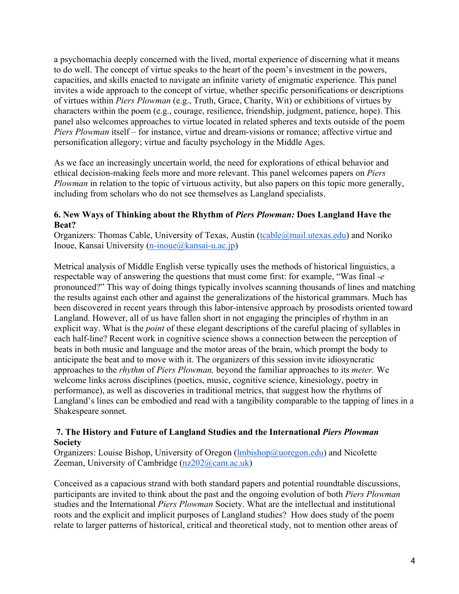a psychomachia deeply concerned with the lived, mortal experience of discerning what it means to do well. The concept of virtue speaks to the heart of the poem's investment in the powers, capacities, and skills enacted to navigate an infinite variety of enigmatic experience. This panel invites a wide approach to the concept of virtue, whether specific personifications or descriptions of virtues within *Piers Plowman* (e.g., Truth, Grace, Charity, Wit) or exhibitions of virtues by characters within the poem (e.g., courage, resilience, friendship, judgment, patience, hope). This panel also welcomes approaches to virtue located in related spheres and texts outside of the poem *Piers Plowman* itself – for instance, virtue and dream-visions or romance; affective virtue and personification allegory; virtue and faculty psychology in the Middle Ages.

As we face an increasingly uncertain world, the need for explorations of ethical behavior and ethical decision-making feels more and more relevant. This panel welcomes papers on *Piers Plowman* in relation to the topic of virtuous activity, but also papers on this topic more generally, including from scholars who do not see themselves as Langland specialists.

#### **6. New Ways of Thinking about the Rhythm of** *Piers Plowman:* **Does Langland Have the Beat?**

Organizers: Thomas Cable, University of Texas, Austin (tcable@mail.utexas.edu) and Noriko Inoue, Kansai University (n-inoue@kansai-u.ac.jp)

Metrical analysis of Middle English verse typically uses the methods of historical linguistics, a respectable way of answering the questions that must come first: for example, "Was final *-e*  pronounced?" This way of doing things typically involves scanning thousands of lines and matching the results against each other and against the generalizations of the historical grammars. Much has been discovered in recent years through this labor-intensive approach by prosodists oriented toward Langland. However, all of us have fallen short in not engaging the principles of rhythm in an explicit way. What is the *point* of these elegant descriptions of the careful placing of syllables in each half-line? Recent work in cognitive science shows a connection between the perception of beats in both music and language and the motor areas of the brain, which prompt the body to anticipate the beat and to move with it. The organizers of this session invite idiosyncratic approaches to the *rhythm* of *Piers Plowman,* beyond the familiar approaches to its *meter.* We welcome links across disciplines (poetics, music, cognitive science, kinesiology, poetry in performance), as well as discoveries in traditional metrics, that suggest how the rhythms of Langland's lines can be embodied and read with a tangibility comparable to the tapping of lines in a Shakespeare sonnet.

### **7. The History and Future of Langland Studies and the International** *Piers Plowman* **Society**

Organizers: Louise Bishop, University of Oregon (*Imbishop@uoregon.edu*) and Nicolette Zeeman, University of Cambridge (nz202@cam.ac.uk)

Conceived as a capacious strand with both standard papers and potential roundtable discussions, participants are invited to think about the past and the ongoing evolution of both *Piers Plowman*  studies and the International *Piers Plowman* Society. What are the intellectual and institutional roots and the explicit and implicit purposes of Langland studies? How does study of the poem relate to larger patterns of historical, critical and theoretical study, not to mention other areas of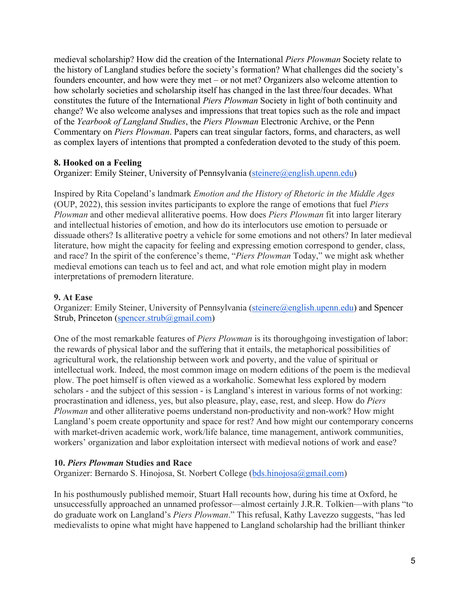medieval scholarship? How did the creation of the International *Piers Plowman* Society relate to the history of Langland studies before the society's formation? What challenges did the society's founders encounter, and how were they met – or not met? Organizers also welcome attention to how scholarly societies and scholarship itself has changed in the last three/four decades. What constitutes the future of the International *Piers Plowman* Society in light of both continuity and change? We also welcome analyses and impressions that treat topics such as the role and impact of the *Yearbook of Langland Studies*, the *Piers Plowman* Electronic Archive, or the Penn Commentary on *Piers Plowman*. Papers can treat singular factors, forms, and characters, as well as complex layers of intentions that prompted a confederation devoted to the study of this poem.

### **8. Hooked on a Feeling**

Organizer: Emily Steiner, University of Pennsylvania (steinere@english.upenn.edu)

Inspired by Rita Copeland's landmark *Emotion and the History of Rhetoric in the Middle Ages*  (OUP, 2022), this session invites participants to explore the range of emotions that fuel *Piers Plowman* and other medieval alliterative poems. How does *Piers Plowman* fit into larger literary and intellectual histories of emotion, and how do its interlocutors use emotion to persuade or dissuade others? Is alliterative poetry a vehicle for some emotions and not others? In later medieval literature, how might the capacity for feeling and expressing emotion correspond to gender, class, and race? In the spirit of the conference's theme, "*Piers Plowman* Today," we might ask whether medieval emotions can teach us to feel and act, and what role emotion might play in modern interpretations of premodern literature.

#### **9. At Ease**

Organizer: Emily Steiner, University of Pennsylvania (steinere@english.upenn.edu) and Spencer Strub, Princeton (spencer.strub@gmail.com)

One of the most remarkable features of *Piers Plowman* is its thoroughgoing investigation of labor: the rewards of physical labor and the suffering that it entails, the metaphorical possibilities of agricultural work, the relationship between work and poverty, and the value of spiritual or intellectual work. Indeed, the most common image on modern editions of the poem is the medieval plow. The poet himself is often viewed as a workaholic. Somewhat less explored by modern scholars - and the subject of this session - is Langland's interest in various forms of not working: procrastination and idleness, yes, but also pleasure, play, ease, rest, and sleep. How do *Piers Plowman* and other alliterative poems understand non-productivity and non-work? How might Langland's poem create opportunity and space for rest? And how might our contemporary concerns with market-driven academic work, work/life balance, time management, antiwork communities, workers' organization and labor exploitation intersect with medieval notions of work and ease?

#### **10.** *Piers Plowman* **Studies and Race**

Organizer: Bernardo S. Hinojosa, St. Norbert College (bds.hinojosa@gmail.com)

In his posthumously published memoir, Stuart Hall recounts how, during his time at Oxford, he unsuccessfully approached an unnamed professor—almost certainly J.R.R. Tolkien—with plans "to do graduate work on Langland's *Piers Plowman*." This refusal, Kathy Lavezzo suggests, "has led medievalists to opine what might have happened to Langland scholarship had the brilliant thinker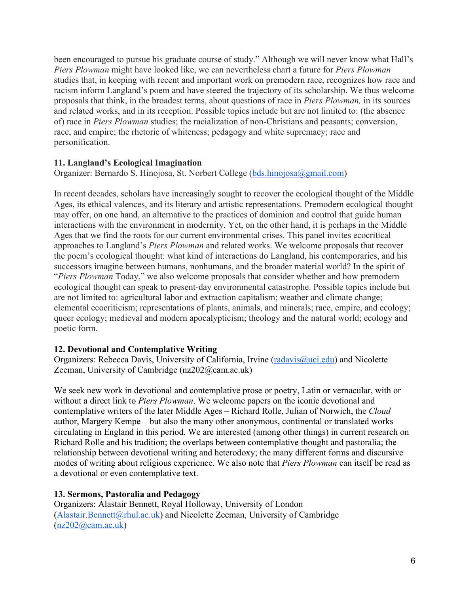been encouraged to pursue his graduate course of study." Although we will never know what Hall's *Piers Plowman* might have looked like, we can nevertheless chart a future for *Piers Plowman*  studies that, in keeping with recent and important work on premodern race, recognizes how race and racism inform Langland's poem and have steered the trajectory of its scholarship. We thus welcome proposals that think, in the broadest terms, about questions of race in *Piers Plowman,* in its sources and related works, and in its reception. Possible topics include but are not limited to: (the absence of) race in *Piers Plowman* studies; the racialization of non-Christians and peasants; conversion, race, and empire; the rhetoric of whiteness; pedagogy and white supremacy; race and personification.

# **11. Langland's Ecological Imagination**

Organizer: Bernardo S. Hinojosa, St. Norbert College (bds.hinojosa@gmail.com)

In recent decades, scholars have increasingly sought to recover the ecological thought of the Middle Ages, its ethical valences, and its literary and artistic representations. Premodern ecological thought may offer, on one hand, an alternative to the practices of dominion and control that guide human interactions with the environment in modernity. Yet, on the other hand, it is perhaps in the Middle Ages that we find the roots for our current environmental crises. This panel invites ecocritical approaches to Langland's *Piers Plowman* and related works. We welcome proposals that recover the poem's ecological thought: what kind of interactions do Langland, his contemporaries, and his successors imagine between humans, nonhumans, and the broader material world? In the spirit of "*Piers Plowman* Today," we also welcome proposals that consider whether and how premodern ecological thought can speak to present-day environmental catastrophe. Possible topics include but are not limited to: agricultural labor and extraction capitalism; weather and climate change; elemental ecocriticism; representations of plants, animals, and minerals; race, empire, and ecology; queer ecology; medieval and modern apocalypticism; theology and the natural world; ecology and poetic form.

### **12. Devotional and Contemplative Writing**

Organizers: Rebecca Davis, University of California, Irvine (radavis@uci.edu) and Nicolette Zeeman, University of Cambridge (nz202@cam.ac.uk)

We seek new work in devotional and contemplative prose or poetry, Latin or vernacular, with or without a direct link to *Piers Plowman*. We welcome papers on the iconic devotional and contemplative writers of the later Middle Ages – Richard Rolle, Julian of Norwich, the *Cloud* author, Margery Kempe – but also the many other anonymous, continental or translated works circulating in England in this period. We are interested (among other things) in current research on Richard Rolle and his tradition; the overlaps between contemplative thought and pastoralia; the relationship between devotional writing and heterodoxy; the many different forms and discursive modes of writing about religious experience. We also note that *Piers Plowman* can itself be read as a devotional or even contemplative text.

### **13. Sermons, Pastoralia and Pedagogy**

Organizers: Alastair Bennett, Royal Holloway, University of London  $(A$ lastair.Bennett@rhul.ac.uk) and Nicolette Zeeman, University of Cambridge (nz202@cam.ac.uk)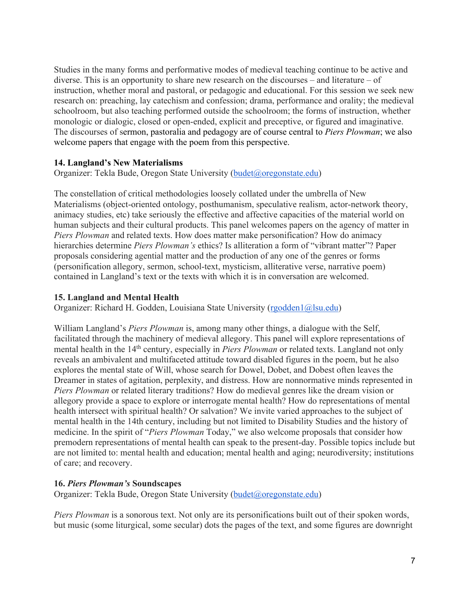Studies in the many forms and performative modes of medieval teaching continue to be active and diverse. This is an opportunity to share new research on the discourses – and literature – of instruction, whether moral and pastoral, or pedagogic and educational. For this session we seek new research on: preaching, lay catechism and confession; drama, performance and orality; the medieval schoolroom, but also teaching performed outside the schoolroom; the forms of instruction, whether monologic or dialogic, closed or open-ended, explicit and preceptive, or figured and imaginative. The discourses of sermon, pastoralia and pedagogy are of course central to *Piers Plowman*; we also welcome papers that engage with the poem from this perspective.

#### **14. Langland's New Materialisms**

Organizer: Tekla Bude, Oregon State University (budet@oregonstate.edu)

The constellation of critical methodologies loosely collated under the umbrella of New Materialisms (object-oriented ontology, posthumanism, speculative realism, actor-network theory, animacy studies, etc) take seriously the effective and affective capacities of the material world on human subjects and their cultural products. This panel welcomes papers on the agency of matter in *Piers Plowman* and related texts. How does matter make personification? How do animacy hierarchies determine *Piers Plowman's* ethics? Is alliteration a form of "vibrant matter"? Paper proposals considering agential matter and the production of any one of the genres or forms (personification allegory, sermon, school-text, mysticism, alliterative verse, narrative poem) contained in Langland's text or the texts with which it is in conversation are welcomed.

### **15. Langland and Mental Health**

Organizer: Richard H. Godden, Louisiana State University (rgodden1@lsu.edu)

William Langland's *Piers Plowman* is, among many other things, a dialogue with the Self, facilitated through the machinery of medieval allegory. This panel will explore representations of mental health in the 14<sup>th</sup> century, especially in *Piers Plowman* or related texts. Langland not only reveals an ambivalent and multifaceted attitude toward disabled figures in the poem, but he also explores the mental state of Will, whose search for Dowel, Dobet, and Dobest often leaves the Dreamer in states of agitation, perplexity, and distress. How are nonnormative minds represented in *Piers Plowman* or related literary traditions? How do medieval genres like the dream vision or allegory provide a space to explore or interrogate mental health? How do representations of mental health intersect with spiritual health? Or salvation? We invite varied approaches to the subject of mental health in the 14th century, including but not limited to Disability Studies and the history of medicine. In the spirit of "*Piers Plowman* Today," we also welcome proposals that consider how premodern representations of mental health can speak to the present-day. Possible topics include but are not limited to: mental health and education; mental health and aging; neurodiversity; institutions of care; and recovery.

#### **16.** *Piers Plowman's* **Soundscapes**

Organizer: Tekla Bude, Oregon State University (budet@oregonstate.edu)

*Piers Plowman* is a sonorous text. Not only are its personifications built out of their spoken words, but music (some liturgical, some secular) dots the pages of the text, and some figures are downright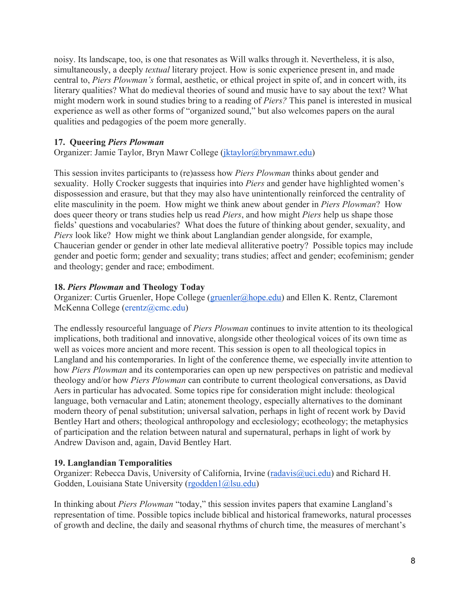noisy. Its landscape, too, is one that resonates as Will walks through it. Nevertheless, it is also, simultaneously, a deeply *textual* literary project. How is sonic experience present in, and made central to, *Piers Plowman's* formal, aesthetic, or ethical project in spite of, and in concert with, its literary qualities? What do medieval theories of sound and music have to say about the text? What might modern work in sound studies bring to a reading of *Piers?* This panel is interested in musical experience as well as other forms of "organized sound," but also welcomes papers on the aural qualities and pedagogies of the poem more generally.

### **17. Queering** *Piers Plowman*

Organizer: Jamie Taylor, Bryn Mawr College (jktaylor@brynmawr.edu)

This session invites participants to (re)assess how *Piers Plowman* thinks about gender and sexuality. Holly Crocker suggests that inquiries into *Piers* and gender have highlighted women's dispossession and erasure, but that they may also have unintentionally reinforced the centrality of elite masculinity in the poem. How might we think anew about gender in *Piers Plowman*? How does queer theory or trans studies help us read *Piers*, and how might *Piers* help us shape those fields' questions and vocabularies? What does the future of thinking about gender, sexuality, and *Piers* look like? How might we think about Langlandian gender alongside, for example, Chaucerian gender or gender in other late medieval alliterative poetry? Possible topics may include gender and poetic form; gender and sexuality; trans studies; affect and gender; ecofeminism; gender and theology; gender and race; embodiment.

# **18.** *Piers Plowman* **and Theology Today**

Organizer: Curtis Gruenler, Hope College (gruenler@hope.edu) and Ellen K. Rentz, Claremont McKenna College (erentz@cmc.edu)

The endlessly resourceful language of *Piers Plowman* continues to invite attention to its theological implications, both traditional and innovative, alongside other theological voices of its own time as well as voices more ancient and more recent. This session is open to all theological topics in Langland and his contemporaries. In light of the conference theme, we especially invite attention to how *Piers Plowman* and its contemporaries can open up new perspectives on patristic and medieval theology and/or how *Piers Plowman* can contribute to current theological conversations, as David Aers in particular has advocated. Some topics ripe for consideration might include: theological language, both vernacular and Latin; atonement theology, especially alternatives to the dominant modern theory of penal substitution; universal salvation, perhaps in light of recent work by David Bentley Hart and others; theological anthropology and ecclesiology; ecotheology; the metaphysics of participation and the relation between natural and supernatural, perhaps in light of work by Andrew Davison and, again, David Bentley Hart.

### **19. Langlandian Temporalities**

Organizer: Rebecca Davis, University of California, Irvine (radavis@uci.edu) and Richard H. Godden, Louisiana State University (rgodden1@lsu.edu)

In thinking about *Piers Plowman* "today," this session invites papers that examine Langland's representation of time. Possible topics include biblical and historical frameworks, natural processes of growth and decline, the daily and seasonal rhythms of church time, the measures of merchant's